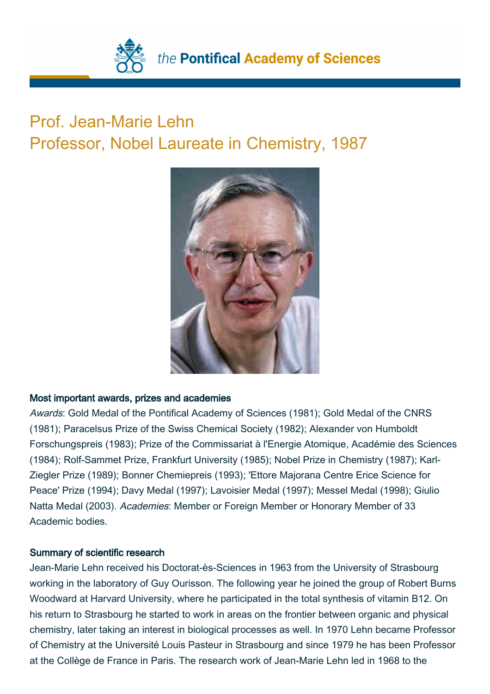

## Prof. Jean-Marie Lehn Professor, Nobel Laureate in Chemistry, 1987



## Most important awards, prizes and academies

Awards: Gold Medal of the Pontifical Academy of Sciences (1981); Gold Medal of the CNRS (1981); Paracelsus Prize of the Swiss Chemical Society (1982); Alexander von Humboldt Forschungspreis (1983); Prize of the Commissariat à l'Energie Atomique, Académie des Sciences (1984); Rolf-Sammet Prize, Frankfurt University (1985); Nobel Prize in Chemistry (1987); Karl-Ziegler Prize (1989); Bonner Chemiepreis (1993); 'Ettore Majorana Centre Erice Science for Peace' Prize (1994); Davy Medal (1997); Lavoisier Medal (1997); Messel Medal (1998); Giulio Natta Medal (2003). Academies: Member or Foreign Member or Honorary Member of 33 Academic bodies.

## Summary of scientific research

Jean-Marie Lehn received his Doctorat-ès-Sciences in 1963 from the University of Strasbourg working in the laboratory of Guy Ourisson. The following year he joined the group of Robert Burns Woodward at Harvard University, where he participated in the total synthesis of vitamin B12. On his return to Strasbourg he started to work in areas on the frontier between organic and physical chemistry, later taking an interest in biological processes as well. In 1970 Lehn became Professor of Chemistry at the Université Louis Pasteur in Strasbourg and since 1979 he has been Professor at the Collège de France in Paris. The research work of Jean-Marie Lehn led in 1968 to the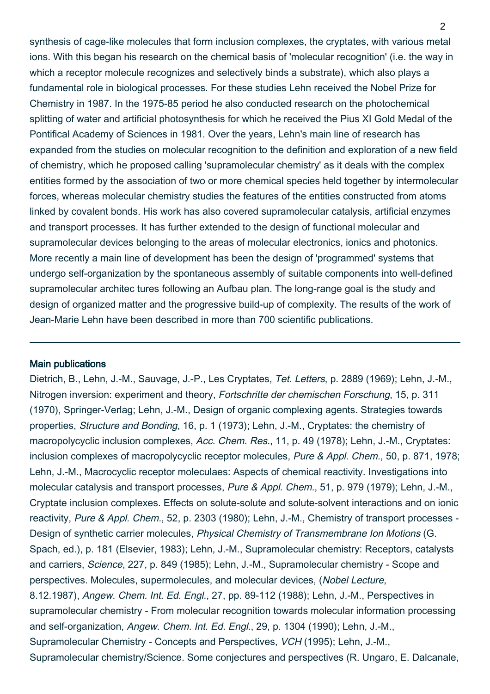synthesis of cage-like molecules that form inclusion complexes, the cryptates, with various metal ions. With this began his research on the chemical basis of 'molecular recognition' (i.e. the way in which a receptor molecule recognizes and selectively binds a substrate), which also plays a fundamental role in biological processes. For these studies Lehn received the Nobel Prize for Chemistry in 1987. In the 1975-85 period he also conducted research on the photochemical splitting of water and artificial photosynthesis for which he received the Pius XI Gold Medal of the Pontifical Academy of Sciences in 1981. Over the years, Lehn's main line of research has expanded from the studies on molecular recognition to the definition and exploration of a new field of chemistry, which he proposed calling 'supramolecular chemistry' as it deals with the complex entities formed by the association of two or more chemical species held together by intermolecular forces, whereas molecular chemistry studies the features of the entities constructed from atoms linked by covalent bonds. His work has also covered supramolecular catalysis, artificial enzymes and transport processes. It has further extended to the design of functional molecular and supramolecular devices belonging to the areas of molecular electronics, ionics and photonics. More recently a main line of development has been the design of 'programmed' systems that undergo self-organization by the spontaneous assembly of suitable components into well-defined supramolecular architec tures following an Aufbau plan. The long-range goal is the study and design of organized matter and the progressive build-up of complexity. The results of the work of Jean-Marie Lehn have been described in more than 700 scientific publications.

## Main publications

Dietrich, B., Lehn, J.-M., Sauvage, J.-P., Les Cryptates, Tet. Letters, p. 2889 (1969); Lehn, J.-M., Nitrogen inversion: experiment and theory, Fortschritte der chemischen Forschung, 15, p. 311 (1970), Springer-Verlag; Lehn, J.-M., Design of organic complexing agents. Strategies towards properties, Structure and Bonding, 16, p. 1 (1973); Lehn, J.-M., Cryptates: the chemistry of macropolycyclic inclusion complexes, Acc. Chem. Res., 11, p. 49 (1978); Lehn, J.-M., Cryptates: inclusion complexes of macropolycyclic receptor molecules, Pure & Appl. Chem., 50, p. 871, 1978; Lehn, J.-M., Macrocyclic receptor moleculaes: Aspects of chemical reactivity. Investigations into molecular catalysis and transport processes, Pure & Appl. Chem., 51, p. 979 (1979); Lehn, J.-M., Cryptate inclusion complexes. Effects on solute-solute and solute-solvent interactions and on ionic reactivity, Pure & Appl. Chem., 52, p. 2303 (1980); Lehn, J.-M., Chemistry of transport processes - Design of synthetic carrier molecules, Physical Chemistry of Transmembrane Ion Motions (G. Spach, ed.), p. 181 (Elsevier, 1983); Lehn, J.-M., Supramolecular chemistry: Receptors, catalysts and carriers, Science, 227, p. 849 (1985); Lehn, J.-M., Supramolecular chemistry - Scope and perspectives. Molecules, supermolecules, and molecular devices, (Nobel Lecture, 8.12.1987), Angew. Chem. Int. Ed. Engl., 27, pp. 89-112 (1988); Lehn, J.-M., Perspectives in supramolecular chemistry - From molecular recognition towards molecular information processing and self-organization, Angew. Chem. Int. Ed. Engl., 29, p. 1304 (1990); Lehn, J.-M., Supramolecular Chemistry - Concepts and Perspectives, VCH (1995); Lehn, J.-M., Supramolecular chemistry/Science. Some conjectures and perspectives (R. Ungaro, E. Dalcanale,